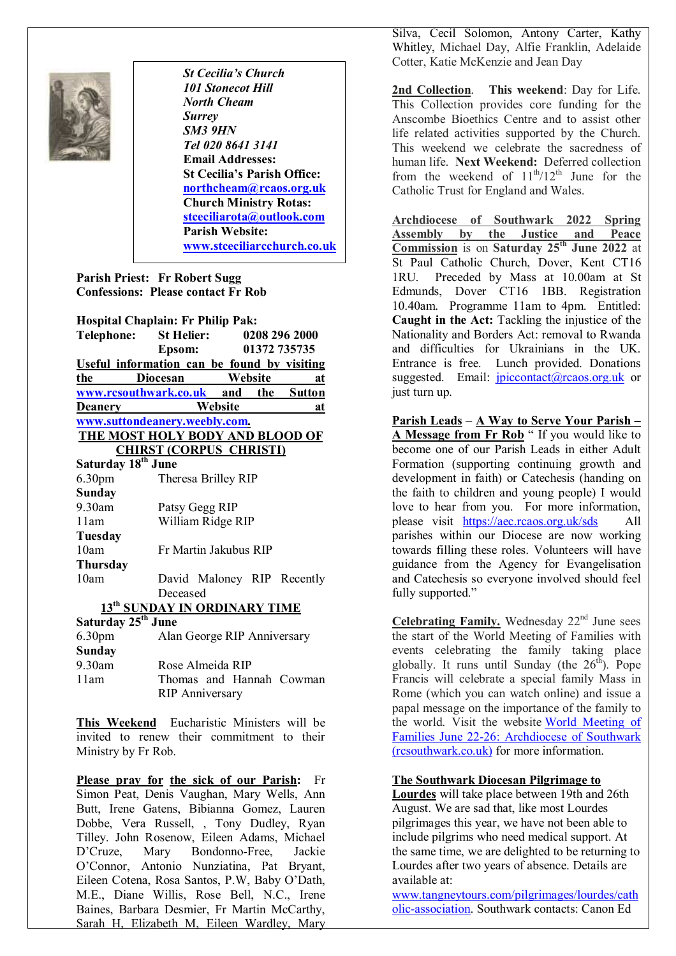

I

*St Cecilia's Church 101 Stonecot Hill North Cheam Surrey SM3 9HN Tel 020 8641 3141*  **Email Addresses: St Cecilia's Parish Office: northcheam@rcaos.org.uk Church Ministry Rotas: stceciliarota@outlook.com Parish Website: www.stceciliarcchurch.co.uk** 

## **Parish Priest: Fr Robert Sugg Confessions: Please contact Fr Rob**

|                                | <b>Hospital Chaplain: Fr Philip Pak:</b>    |                       |  |              |
|--------------------------------|---------------------------------------------|-----------------------|--|--------------|
| <b>Telephone:</b>              | St Helier: 0208 296 2000                    |                       |  |              |
|                                | Epsom:                                      |                       |  | 01372 735735 |
|                                | Useful information can be found by visiting |                       |  |              |
| the                            | <b>Diocesan</b>                             | <b>Website</b>        |  | at           |
|                                | www.rcsouthwark.co.uk and the Sutton        |                       |  |              |
| <b>Deanery</b>                 |                                             | Website               |  | at           |
|                                | www.suttondeanery.weebly.com.               |                       |  |              |
|                                | THE MOST HOLY BODY AND BLOOD OF             |                       |  |              |
|                                | <b>CHIRST (CORPUS CHRISTI)</b>              |                       |  |              |
| Saturday 18 <sup>th</sup> June |                                             |                       |  |              |
| 6.30 <sub>pm</sub>             |                                             | Theresa Brilley RIP   |  |              |
| <b>Sunday</b>                  |                                             |                       |  |              |
| 9.30am                         | Patsy Gegg RIP                              |                       |  |              |
| 11am                           |                                             | William Ridge RIP     |  |              |
| Tuesday                        |                                             |                       |  |              |
| 10am                           |                                             | Fr Martin Jakubus RIP |  |              |
| <b>Thursday</b>                |                                             |                       |  |              |
| 10am                           | David Maloney RIP Recently                  |                       |  |              |
|                                | Deceased                                    |                       |  |              |
|                                | 13 <sup>th</sup> SUNDAY IN ORDINARY TIME    |                       |  |              |
| Saturday 25 <sup>th</sup> June |                                             |                       |  |              |
| 6.30 <sub>pm</sub>             | Alan George RIP Anniversary                 |                       |  |              |
| Sundov                         |                                             |                       |  |              |

| <b>Sunday</b> |                          |
|---------------|--------------------------|
| $9.30$ am     | Rose Almeida RIP         |
| 11am          | Thomas and Hannah Cowman |
|               | <b>RIP Anniversary</b>   |

**This Weekend** Eucharistic Ministers will be invited to renew their commitment to their Ministry by Fr Rob.

**Please pray for the sick of our Parish:** Fr Simon Peat, Denis Vaughan, Mary Wells, Ann Butt, Irene Gatens, Bibianna Gomez, Lauren Dobbe, Vera Russell, , Tony Dudley, Ryan Tilley. John Rosenow, Eileen Adams, Michael D'Cruze, Mary Bondonno-Free, Jackie O'Connor, Antonio Nunziatina, Pat Bryant, Eileen Cotena, Rosa Santos, P.W, Baby O'Dath, M.E., Diane Willis, Rose Bell, N.C., Irene Baines, Barbara Desmier, Fr Martin McCarthy, Sarah H, Elizabeth M, Eileen Wardley, Mary Silva, Cecil Solomon, Antony Carter, Kathy Whitley, Michael Day, Alfie Franklin, Adelaide Cotter, Katie McKenzie and Jean Day

**2nd Collection**. **This weekend**: Day for Life. This Collection provides core funding for the Anscombe Bioethics Centre and to assist other life related activities supported by the Church. This weekend we celebrate the sacredness of human life. **Next Weekend:** Deferred collection from the weekend of  $11^{th}/12^{th}$  June for the Catholic Trust for England and Wales.

**Archdiocese of Southwark 2022 Spring Assembly by the Justice and Peace Commission** is on **Saturday 25th June 2022** at St Paul Catholic Church, Dover, Kent CT16 1RU. Preceded by Mass at 10.00am at St Edmunds, Dover CT16 1BB. Registration 10.40am. Programme 11am to 4pm. Entitled: **Caught in the Act:** Tackling the injustice of the Nationality and Borders Act: removal to Rwanda and difficulties for Ukrainians in the UK. Entrance is free. Lunch provided. Donations suggested. Email: *jpiccontact@rcaos.org.uk* or just turn up.

**Parish Leads** – **A Way to Serve Your Parish – A Message from Fr Rob** " If you would like to become one of our Parish Leads in either Adult Formation (supporting continuing growth and development in faith) or Catechesis (handing on the faith to children and young people) I would love to hear from you. For more information, please visit https://aec.rcaos.org.uk/sds All parishes within our Diocese are now working towards filling these roles. Volunteers will have guidance from the Agency for Evangelisation and Catechesis so everyone involved should feel fully supported."

**Celebrating Family.** Wednesday  $22<sup>nd</sup>$  June sees the start of the World Meeting of Families with events celebrating the family taking place globally. It runs until Sunday (the  $26<sup>th</sup>$ ). Pope Francis will celebrate a special family Mass in Rome (which you can watch online) and issue a papal message on the importance of the family to the world. Visit the website World Meeting of Families June 22-26: Archdiocese of Southwark (rcsouthwark.co.uk) for more information.

## **The Southwark Diocesan Pilgrimage to**

**Lourdes** will take place between 19th and 26th August. We are sad that, like most Lourdes pilgrimages this year, we have not been able to include pilgrims who need medical support. At the same time, we are delighted to be returning to Lourdes after two years of absence. Details are available at:

www.tangneytours.com/pilgrimages/lourdes/cath olic-association. Southwark contacts: Canon Ed